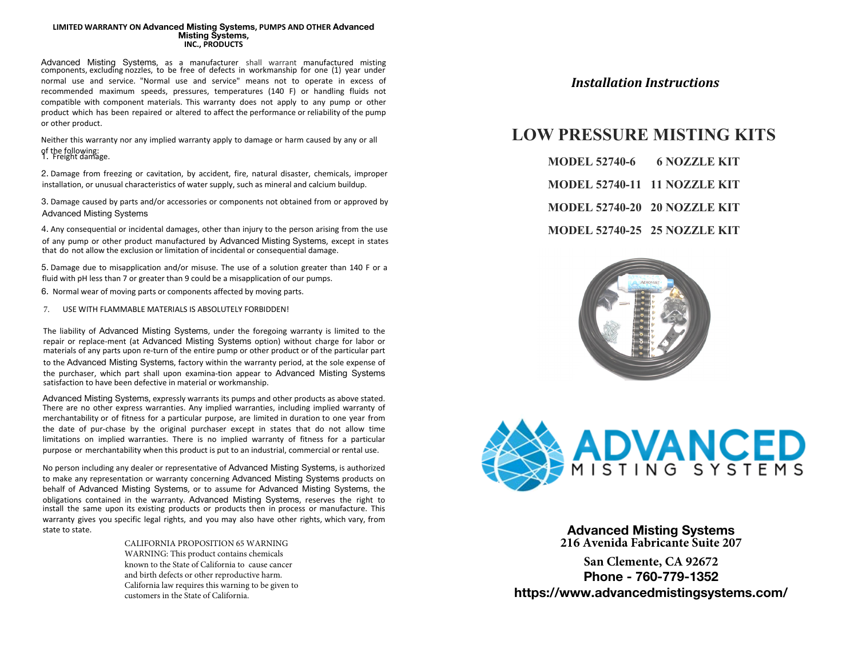## **LIMITED WARRANTY ON Advanced Misting Systems, PUMPS AND OTHER Advanced Misting Systems, INC., PRODUCTS**

Advanced Misting Systems, as a manufacturer shall warrant manufactured misting components, excluding nozzles, to be free of defects in workmanship for one (1) year under normal use and service. "Normal use and service" means not to operate in excess of recommended maximum speeds, pressures, temperatures (140 F) or handling fluids not compatible with component materials. This warranty does not apply to any pump or other product which has been repaired or altered to affect the performance or reliability of the pump or other product.

Neither this warranty nor any implied warranty apply to damage or harm caused by any or all of the following: 1. Freight damage.

2. Damage from freezing or cavitation, by accident, fire, natural disaster, chemicals, improper installation, or unusual characteristics of water supply, such as mineral and calcium buildup.

3. Damage caused by parts and/or accessories or components not obtained from or approved by Advanced Misting Systems

4. Any consequential or incidental damages, other than injury to the person arising from the use of any pump or other product manufactured by Advanced Misting Systems, except in states that do not allow the exclusion or limitation of incidental or consequential damage.

5. Damage due to misapplication and/or misuse. The use of a solution greater than 140 F or a fluid with pH less than 7 or greater than 9 could be a misapplication of our pumps.

6. Normal wear of moving parts or components affected by moving parts.

USE WITH FLAMMABLE MATERIALS IS ABSOLUTELY FORBIDDEN! 7.

The liability of Advanced Misting Systems, under the foregoing warranty is limited to the repair or replace-ment (at Advanced Misting Systems option) without charge for labor or materials of any parts upon re-turn of the entire pump or other product or of the particular part to the Advanced Misting Systems, factory within the warranty period, at the sole expense of the purchaser, which part shall upon examina-tion appear to Advanced Misting Systems satisfaction to have been defective in material or workmanship.

Advanced Misting Systems, expressly warrants its pumps and other products as above stated. There are no other express warranties. Any implied warranties, including implied warranty of merchantability or of fitness for a particular purpose, are limited in duration to one year from the date of pur-chase by the original purchaser except in states that do not allow time limitations on implied warranties. There is no implied warranty of fitness for a particular purpose or merchantability when this product is put to an industrial, commercial or rental use.

No person including any dealer or representative of Advanced Misting Systems, is authorized to make any representation or warranty concerning Advanced Misting Systems products on behalf of Advanced Misting Systems, or to assume for Advanced Misting Systems, the obligations contained in the warranty. Advanced Misting Systems, reserves the right to install the same upon its existing products or products then in process or manufacture. This warranty gives you specific legal rights, and you may also have other rights, which vary, from state to state.

> CALIFORNIA PROPOSITION 65 WARNING WARNING: This product contains chemicals known to the State of California to cause cancer and birth defects or other reproductive harm. California law requires this warning to be given to customers in the State of California.

## *Installation Instructions*

# **LOW PRESSURE MISTING KITS**

| <b>MODEL 52740-6</b>         | <b>6 NOZZLE KIT</b> |
|------------------------------|---------------------|
| MODEL 52740-11 11 NOZZLE KIT |                     |
| MODEL 52740-20 20 NOZZLE KIT |                     |
| MODEL 52740-25 25 NOZZLE KIT |                     |





**Advanced Misting Systems 216 Avenida Fabricante Suite 207**

**San Clemente, CA 92672 Phone - 760-779-1352 https://www.advancedmistingsystems.com/**